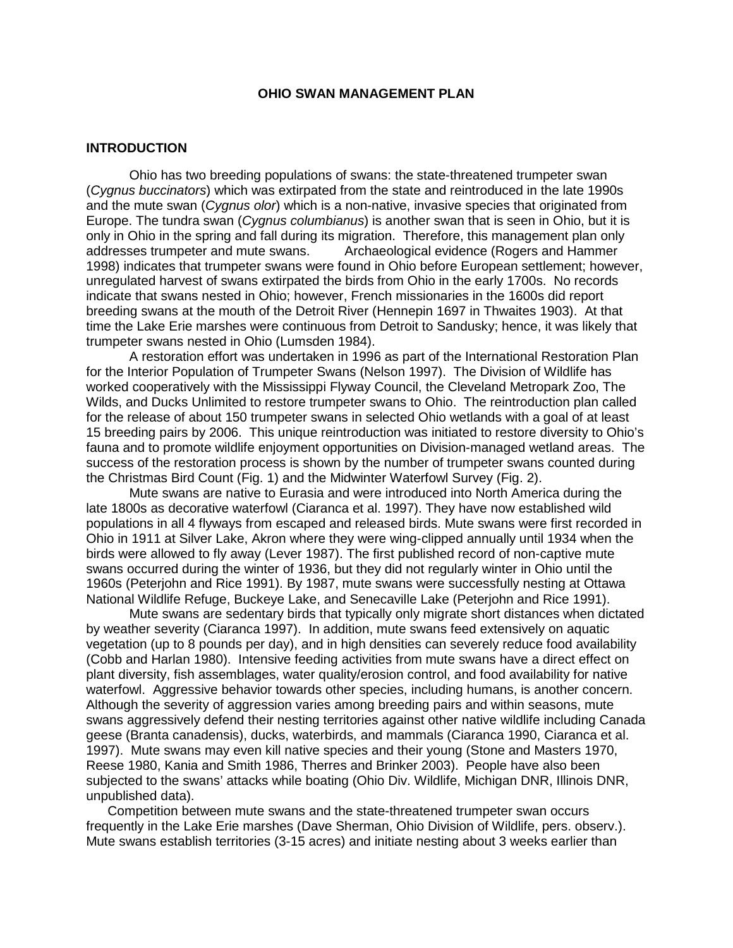## **OHIO SWAN MANAGEMENT PLAN**

### **INTRODUCTION**

Ohio has two breeding populations of swans: the state-threatened trumpeter swan (*Cygnus buccinators*) which was extirpated from the state and reintroduced in the late 1990s and the mute swan (*Cygnus olor*) which is a non-native, invasive species that originated from Europe. The tundra swan (*Cygnus columbianus*) is another swan that is seen in Ohio, but it is only in Ohio in the spring and fall during its migration. Therefore, this management plan only addresses trumpeter and mute swans. Archaeological evidence (Rogers and Hammer Archaeological evidence (Rogers and Hammer 1998) indicates that trumpeter swans were found in Ohio before European settlement; however, unregulated harvest of swans extirpated the birds from Ohio in the early 1700s. No records indicate that swans nested in Ohio; however, French missionaries in the 1600s did report breeding swans at the mouth of the Detroit River (Hennepin 1697 in Thwaites 1903). At that time the Lake Erie marshes were continuous from Detroit to Sandusky; hence, it was likely that trumpeter swans nested in Ohio (Lumsden 1984).

A restoration effort was undertaken in 1996 as part of the International Restoration Plan for the Interior Population of Trumpeter Swans (Nelson 1997). The Division of Wildlife has worked cooperatively with the Mississippi Flyway Council, the Cleveland Metropark Zoo, The Wilds, and Ducks Unlimited to restore trumpeter swans to Ohio. The reintroduction plan called for the release of about 150 trumpeter swans in selected Ohio wetlands with a goal of at least 15 breeding pairs by 2006. This unique reintroduction was initiated to restore diversity to Ohio's fauna and to promote wildlife enjoyment opportunities on Division-managed wetland areas. The success of the restoration process is shown by the number of trumpeter swans counted during the Christmas Bird Count (Fig. 1) and the Midwinter Waterfowl Survey (Fig. 2).

Mute swans are native to Eurasia and were introduced into North America during the late 1800s as decorative waterfowl (Ciaranca et al. 1997). They have now established wild populations in all 4 flyways from escaped and released birds. Mute swans were first recorded in Ohio in 1911 at Silver Lake, Akron where they were wing-clipped annually until 1934 when the birds were allowed to fly away (Lever 1987). The first published record of non-captive mute swans occurred during the winter of 1936, but they did not regularly winter in Ohio until the 1960s (Peterjohn and Rice 1991). By 1987, mute swans were successfully nesting at Ottawa National Wildlife Refuge, Buckeye Lake, and Senecaville Lake (Peterjohn and Rice 1991).

Mute swans are sedentary birds that typically only migrate short distances when dictated by weather severity (Ciaranca 1997). In addition, mute swans feed extensively on aquatic vegetation (up to 8 pounds per day), and in high densities can severely reduce food availability (Cobb and Harlan 1980). Intensive feeding activities from mute swans have a direct effect on plant diversity, fish assemblages, water quality/erosion control, and food availability for native waterfowl. Aggressive behavior towards other species, including humans, is another concern. Although the severity of aggression varies among breeding pairs and within seasons, mute swans aggressively defend their nesting territories against other native wildlife including Canada geese (Branta canadensis), ducks, waterbirds, and mammals (Ciaranca 1990, Ciaranca et al. 1997). Mute swans may even kill native species and their young (Stone and Masters 1970, Reese 1980, Kania and Smith 1986, Therres and Brinker 2003). People have also been subjected to the swans' attacks while boating (Ohio Div. Wildlife, Michigan DNR, Illinois DNR, unpublished data).

Competition between mute swans and the state-threatened trumpeter swan occurs frequently in the Lake Erie marshes (Dave Sherman, Ohio Division of Wildlife, pers. observ.). Mute swans establish territories (3-15 acres) and initiate nesting about 3 weeks earlier than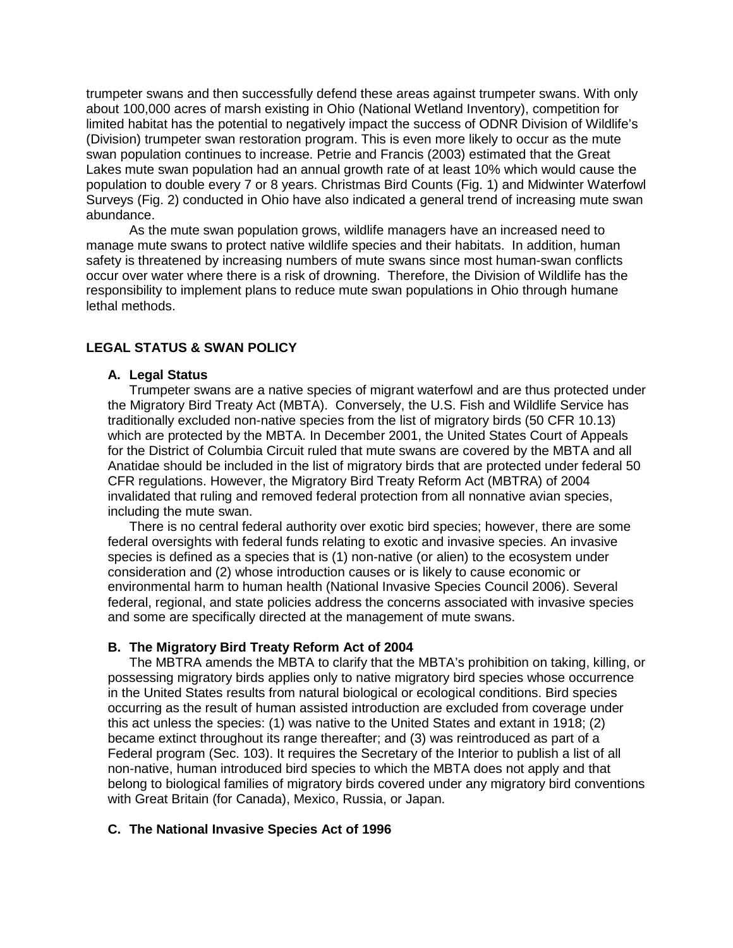trumpeter swans and then successfully defend these areas against trumpeter swans. With only about 100,000 acres of marsh existing in Ohio (National Wetland Inventory), competition for limited habitat has the potential to negatively impact the success of ODNR Division of Wildlife's (Division) trumpeter swan restoration program. This is even more likely to occur as the mute swan population continues to increase. Petrie and Francis (2003) estimated that the Great Lakes mute swan population had an annual growth rate of at least 10% which would cause the population to double every 7 or 8 years. Christmas Bird Counts (Fig. 1) and Midwinter Waterfowl Surveys (Fig. 2) conducted in Ohio have also indicated a general trend of increasing mute swan abundance.

As the mute swan population grows, wildlife managers have an increased need to manage mute swans to protect native wildlife species and their habitats. In addition, human safety is threatened by increasing numbers of mute swans since most human-swan conflicts occur over water where there is a risk of drowning. Therefore, the Division of Wildlife has the responsibility to implement plans to reduce mute swan populations in Ohio through humane lethal methods.

## **LEGAL STATUS & SWAN POLICY**

## **A. Legal Status**

Trumpeter swans are a native species of migrant waterfowl and are thus protected under the Migratory Bird Treaty Act (MBTA). Conversely, the U.S. Fish and Wildlife Service has traditionally excluded non-native species from the list of migratory birds (50 CFR 10.13) which are protected by the MBTA. In December 2001, the United States Court of Appeals for the District of Columbia Circuit ruled that mute swans are covered by the MBTA and all Anatidae should be included in the list of migratory birds that are protected under federal 50 CFR regulations. However, the Migratory Bird Treaty Reform Act (MBTRA) of 2004 invalidated that ruling and removed federal protection from all nonnative avian species, including the mute swan.

There is no central federal authority over exotic bird species; however, there are some federal oversights with federal funds relating to exotic and invasive species. An invasive species is defined as a species that is (1) non-native (or alien) to the ecosystem under consideration and (2) whose introduction causes or is likely to cause economic or environmental harm to human health (National Invasive Species Council 2006). Several federal, regional, and state policies address the concerns associated with invasive species and some are specifically directed at the management of mute swans.

## **B. The Migratory Bird Treaty Reform Act of 2004**

The MBTRA amends the MBTA to clarify that the MBTA's prohibition on taking, killing, or possessing migratory birds applies only to native migratory bird species whose occurrence in the United States results from natural biological or ecological conditions. Bird species occurring as the result of human assisted introduction are excluded from coverage under this act unless the species: (1) was native to the United States and extant in 1918; (2) became extinct throughout its range thereafter; and (3) was reintroduced as part of a Federal program (Sec. 103). It requires the Secretary of the Interior to publish a list of all non-native, human introduced bird species to which the MBTA does not apply and that belong to biological families of migratory birds covered under any migratory bird conventions with Great Britain (for Canada), Mexico, Russia, or Japan.

#### **C. The National Invasive Species Act of 1996**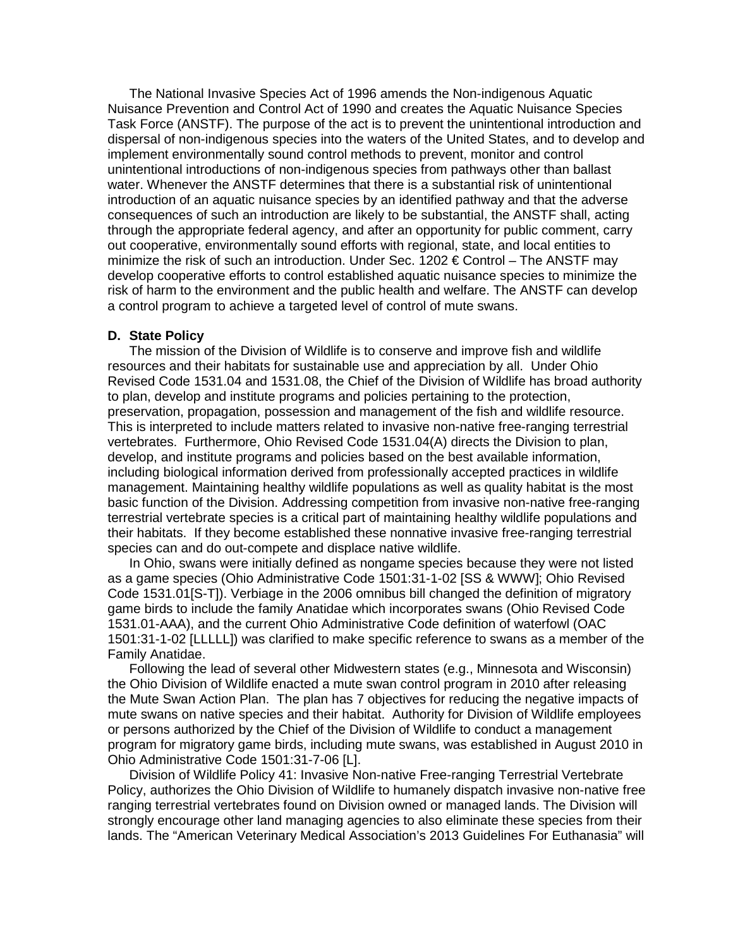The National Invasive Species Act of 1996 amends the Non-indigenous Aquatic Nuisance Prevention and Control Act of 1990 and creates the Aquatic Nuisance Species Task Force (ANSTF). The purpose of the act is to prevent the unintentional introduction and dispersal of non-indigenous species into the waters of the United States, and to develop and implement environmentally sound control methods to prevent, monitor and control unintentional introductions of non-indigenous species from pathways other than ballast water. Whenever the ANSTF determines that there is a substantial risk of unintentional introduction of an aquatic nuisance species by an identified pathway and that the adverse consequences of such an introduction are likely to be substantial, the ANSTF shall, acting through the appropriate federal agency, and after an opportunity for public comment, carry out cooperative, environmentally sound efforts with regional, state, and local entities to minimize the risk of such an introduction. Under Sec. 1202  $\epsilon$  Control – The ANSTF may develop cooperative efforts to control established aquatic nuisance species to minimize the risk of harm to the environment and the public health and welfare. The ANSTF can develop a control program to achieve a targeted level of control of mute swans.

## **D. State Policy**

The mission of the Division of Wildlife is to conserve and improve fish and wildlife resources and their habitats for sustainable use and appreciation by all. Under Ohio Revised Code 1531.04 and 1531.08, the Chief of the Division of Wildlife has broad authority to plan, develop and institute programs and policies pertaining to the protection, preservation, propagation, possession and management of the fish and wildlife resource. This is interpreted to include matters related to invasive non-native free-ranging terrestrial vertebrates. Furthermore, Ohio Revised Code 1531.04(A) directs the Division to plan, develop, and institute programs and policies based on the best available information, including biological information derived from professionally accepted practices in wildlife management. Maintaining healthy wildlife populations as well as quality habitat is the most basic function of the Division. Addressing competition from invasive non-native free-ranging terrestrial vertebrate species is a critical part of maintaining healthy wildlife populations and their habitats. If they become established these nonnative invasive free-ranging terrestrial species can and do out-compete and displace native wildlife.

In Ohio, swans were initially defined as nongame species because they were not listed as a game species (Ohio Administrative Code 1501:31-1-02 [SS & WWW]; Ohio Revised Code 1531.01[S-T]). Verbiage in the 2006 omnibus bill changed the definition of migratory game birds to include the family Anatidae which incorporates swans (Ohio Revised Code 1531.01-AAA), and the current Ohio Administrative Code definition of waterfowl (OAC 1501:31-1-02 [LLLLL]) was clarified to make specific reference to swans as a member of the Family Anatidae.

Following the lead of several other Midwestern states (e.g., Minnesota and Wisconsin) the Ohio Division of Wildlife enacted a mute swan control program in 2010 after releasing the Mute Swan Action Plan. The plan has 7 objectives for reducing the negative impacts of mute swans on native species and their habitat. Authority for Division of Wildlife employees or persons authorized by the Chief of the Division of Wildlife to conduct a management program for migratory game birds, including mute swans, was established in August 2010 in Ohio Administrative Code 1501:31-7-06 [L].

Division of Wildlife Policy 41: Invasive Non-native Free-ranging Terrestrial Vertebrate Policy, authorizes the Ohio Division of Wildlife to humanely dispatch invasive non-native free ranging terrestrial vertebrates found on Division owned or managed lands. The Division will strongly encourage other land managing agencies to also eliminate these species from their lands. The "American Veterinary Medical Association's 2013 Guidelines For Euthanasia" will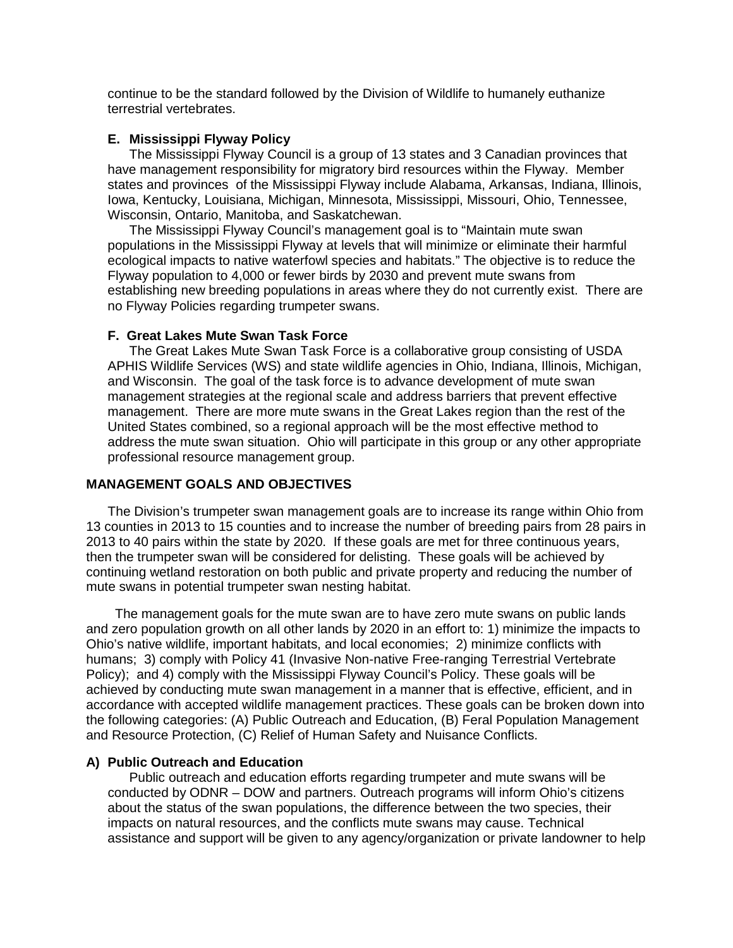continue to be the standard followed by the Division of Wildlife to humanely euthanize terrestrial vertebrates.

### **E. Mississippi Flyway Policy**

The Mississippi Flyway Council is a group of 13 states and 3 Canadian provinces that have management responsibility for migratory bird resources within the Flyway. Member states and provinces of the Mississippi Flyway include Alabama, Arkansas, Indiana, Illinois, Iowa, Kentucky, Louisiana, Michigan, Minnesota, Mississippi, Missouri, Ohio, Tennessee, Wisconsin, Ontario, Manitoba, and Saskatchewan.

The Mississippi Flyway Council's management goal is to "Maintain mute swan populations in the Mississippi Flyway at levels that will minimize or eliminate their harmful ecological impacts to native waterfowl species and habitats." The objective is to reduce the Flyway population to 4,000 or fewer birds by 2030 and prevent mute swans from establishing new breeding populations in areas where they do not currently exist. There are no Flyway Policies regarding trumpeter swans.

### **F. Great Lakes Mute Swan Task Force**

The Great Lakes Mute Swan Task Force is a collaborative group consisting of USDA APHIS Wildlife Services (WS) and state wildlife agencies in Ohio, Indiana, Illinois, Michigan, and Wisconsin. The goal of the task force is to advance development of mute swan management strategies at the regional scale and address barriers that prevent effective management. There are more mute swans in the Great Lakes region than the rest of the United States combined, so a regional approach will be the most effective method to address the mute swan situation. Ohio will participate in this group or any other appropriate professional resource management group.

## **MANAGEMENT GOALS AND OBJECTIVES**

The Division's trumpeter swan management goals are to increase its range within Ohio from 13 counties in 2013 to 15 counties and to increase the number of breeding pairs from 28 pairs in 2013 to 40 pairs within the state by 2020. If these goals are met for three continuous years, then the trumpeter swan will be considered for delisting. These goals will be achieved by continuing wetland restoration on both public and private property and reducing the number of mute swans in potential trumpeter swan nesting habitat.

 The management goals for the mute swan are to have zero mute swans on public lands and zero population growth on all other lands by 2020 in an effort to: 1) minimize the impacts to Ohio's native wildlife, important habitats, and local economies; 2) minimize conflicts with humans; 3) comply with Policy 41 (Invasive Non-native Free-ranging Terrestrial Vertebrate Policy); and 4) comply with the Mississippi Flyway Council's Policy. These goals will be achieved by conducting mute swan management in a manner that is effective, efficient, and in accordance with accepted wildlife management practices. These goals can be broken down into the following categories: (A) Public Outreach and Education, (B) Feral Population Management and Resource Protection, (C) Relief of Human Safety and Nuisance Conflicts.

#### **A) Public Outreach and Education**

Public outreach and education efforts regarding trumpeter and mute swans will be conducted by ODNR – DOW and partners. Outreach programs will inform Ohio's citizens about the status of the swan populations, the difference between the two species, their impacts on natural resources, and the conflicts mute swans may cause. Technical assistance and support will be given to any agency/organization or private landowner to help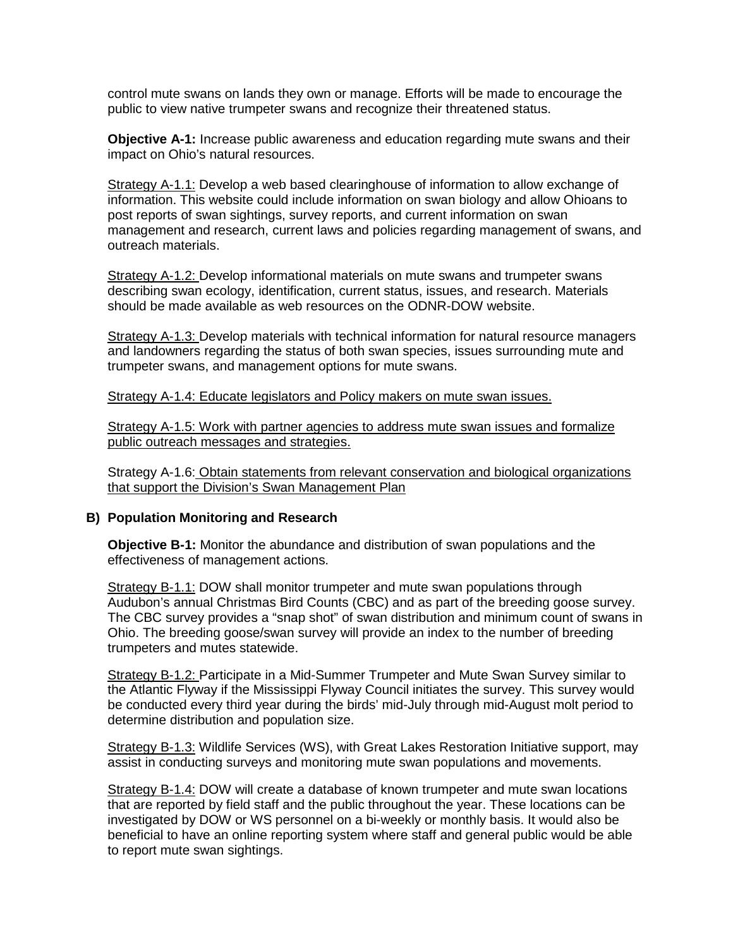control mute swans on lands they own or manage. Efforts will be made to encourage the public to view native trumpeter swans and recognize their threatened status.

**Objective A-1:** Increase public awareness and education regarding mute swans and their impact on Ohio's natural resources.

Strategy A-1.1: Develop a web based clearinghouse of information to allow exchange of information. This website could include information on swan biology and allow Ohioans to post reports of swan sightings, survey reports, and current information on swan management and research, current laws and policies regarding management of swans, and outreach materials.

Strategy A-1.2: Develop informational materials on mute swans and trumpeter swans describing swan ecology, identification, current status, issues, and research. Materials should be made available as web resources on the ODNR-DOW website.

Strategy A-1.3: Develop materials with technical information for natural resource managers and landowners regarding the status of both swan species, issues surrounding mute and trumpeter swans, and management options for mute swans.

Strategy A-1.4: Educate legislators and Policy makers on mute swan issues.

Strategy A-1.5: Work with partner agencies to address mute swan issues and formalize public outreach messages and strategies.

Strategy A-1.6: Obtain statements from relevant conservation and biological organizations that support the Division's Swan Management Plan

## **B) Population Monitoring and Research**

**Objective B-1:** Monitor the abundance and distribution of swan populations and the effectiveness of management actions.

Strategy B-1.1: DOW shall monitor trumpeter and mute swan populations through Audubon's annual Christmas Bird Counts (CBC) and as part of the breeding goose survey. The CBC survey provides a "snap shot" of swan distribution and minimum count of swans in Ohio. The breeding goose/swan survey will provide an index to the number of breeding trumpeters and mutes statewide.

Strategy B-1.2: Participate in a Mid-Summer Trumpeter and Mute Swan Survey similar to the Atlantic Flyway if the Mississippi Flyway Council initiates the survey. This survey would be conducted every third year during the birds' mid-July through mid-August molt period to determine distribution and population size.

Strategy B-1.3: Wildlife Services (WS), with Great Lakes Restoration Initiative support, may assist in conducting surveys and monitoring mute swan populations and movements.

Strategy B-1.4: DOW will create a database of known trumpeter and mute swan locations that are reported by field staff and the public throughout the year. These locations can be investigated by DOW or WS personnel on a bi-weekly or monthly basis. It would also be beneficial to have an online reporting system where staff and general public would be able to report mute swan sightings.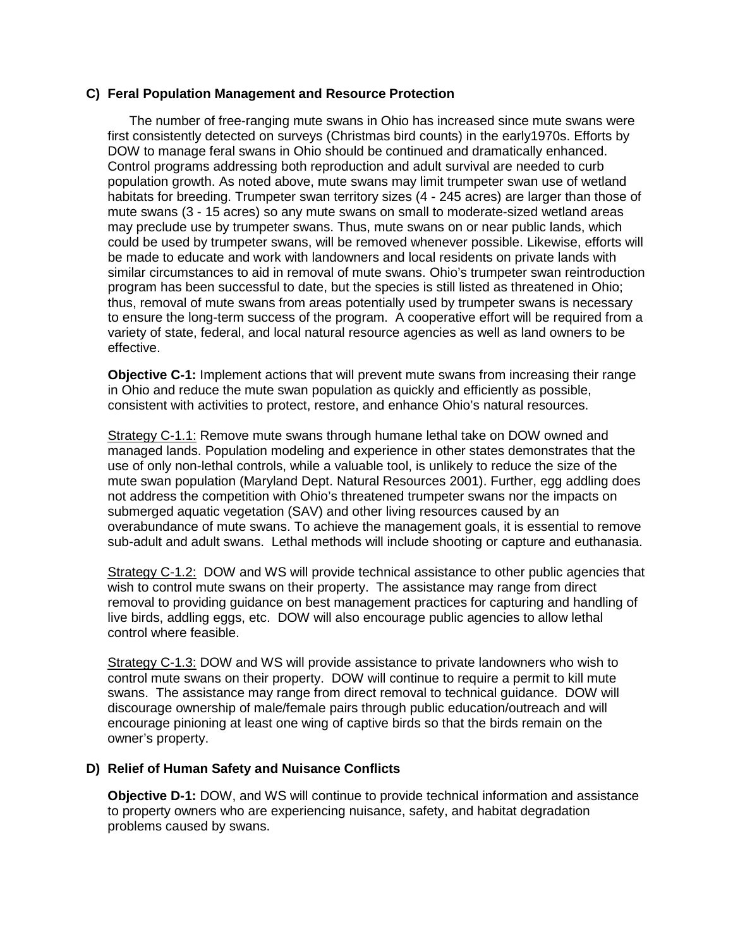## **C) Feral Population Management and Resource Protection**

The number of free-ranging mute swans in Ohio has increased since mute swans were first consistently detected on surveys (Christmas bird counts) in the early1970s. Efforts by DOW to manage feral swans in Ohio should be continued and dramatically enhanced. Control programs addressing both reproduction and adult survival are needed to curb population growth. As noted above, mute swans may limit trumpeter swan use of wetland habitats for breeding. Trumpeter swan territory sizes (4 - 245 acres) are larger than those of mute swans (3 - 15 acres) so any mute swans on small to moderate-sized wetland areas may preclude use by trumpeter swans. Thus, mute swans on or near public lands, which could be used by trumpeter swans, will be removed whenever possible. Likewise, efforts will be made to educate and work with landowners and local residents on private lands with similar circumstances to aid in removal of mute swans. Ohio's trumpeter swan reintroduction program has been successful to date, but the species is still listed as threatened in Ohio; thus, removal of mute swans from areas potentially used by trumpeter swans is necessary to ensure the long-term success of the program. A cooperative effort will be required from a variety of state, federal, and local natural resource agencies as well as land owners to be effective.

**Objective C-1:** Implement actions that will prevent mute swans from increasing their range in Ohio and reduce the mute swan population as quickly and efficiently as possible, consistent with activities to protect, restore, and enhance Ohio's natural resources.

Strategy C-1.1: Remove mute swans through humane lethal take on DOW owned and managed lands. Population modeling and experience in other states demonstrates that the use of only non-lethal controls, while a valuable tool, is unlikely to reduce the size of the mute swan population (Maryland Dept. Natural Resources 2001). Further, egg addling does not address the competition with Ohio's threatened trumpeter swans nor the impacts on submerged aquatic vegetation (SAV) and other living resources caused by an overabundance of mute swans. To achieve the management goals, it is essential to remove sub-adult and adult swans. Lethal methods will include shooting or capture and euthanasia.

Strategy C-1.2: DOW and WS will provide technical assistance to other public agencies that wish to control mute swans on their property. The assistance may range from direct removal to providing guidance on best management practices for capturing and handling of live birds, addling eggs, etc. DOW will also encourage public agencies to allow lethal control where feasible.

Strategy C-1.3: DOW and WS will provide assistance to private landowners who wish to control mute swans on their property. DOW will continue to require a permit to kill mute swans. The assistance may range from direct removal to technical guidance. DOW will discourage ownership of male/female pairs through public education/outreach and will encourage pinioning at least one wing of captive birds so that the birds remain on the owner's property.

# **D) Relief of Human Safety and Nuisance Conflicts**

**Objective D-1:** DOW, and WS will continue to provide technical information and assistance to property owners who are experiencing nuisance, safety, and habitat degradation problems caused by swans.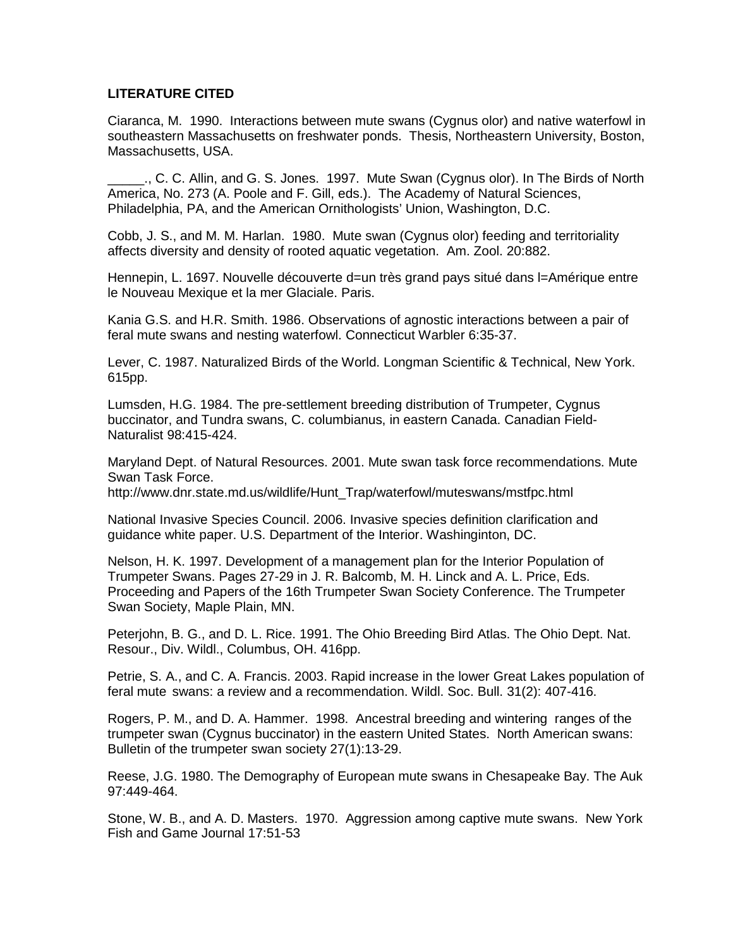## **LITERATURE CITED**

Ciaranca, M. 1990. Interactions between mute swans (Cygnus olor) and native waterfowl in southeastern Massachusetts on freshwater ponds. Thesis, Northeastern University, Boston, Massachusetts, USA.

\_\_\_\_\_., C. C. Allin, and G. S. Jones. 1997. Mute Swan (Cygnus olor). In The Birds of North America, No. 273 (A. Poole and F. Gill, eds.). The Academy of Natural Sciences, Philadelphia, PA, and the American Ornithologists' Union, Washington, D.C.

Cobb, J. S., and M. M. Harlan. 1980. Mute swan (Cygnus olor) feeding and territoriality affects diversity and density of rooted aquatic vegetation. Am. Zool. 20:882.

Hennepin, L. 1697. Nouvelle découverte d=un très grand pays situé dans l=Amérique entre le Nouveau Mexique et la mer Glaciale. Paris.

Kania G.S. and H.R. Smith. 1986. Observations of agnostic interactions between a pair of feral mute swans and nesting waterfowl. Connecticut Warbler 6:35-37.

Lever, C. 1987. Naturalized Birds of the World. Longman Scientific & Technical, New York. 615pp.

Lumsden, H.G. 1984. The pre-settlement breeding distribution of Trumpeter, Cygnus buccinator, and Tundra swans, C. columbianus, in eastern Canada. Canadian Field-Naturalist 98:415-424.

Maryland Dept. of Natural Resources. 2001. Mute swan task force recommendations. Mute Swan Task Force.

http://www.dnr.state.md.us/wildlife/Hunt\_Trap/waterfowl/muteswans/mstfpc.html

National Invasive Species Council. 2006. Invasive species definition clarification and guidance white paper. U.S. Department of the Interior. Washinginton, DC.

Nelson, H. K. 1997. Development of a management plan for the Interior Population of Trumpeter Swans. Pages 27-29 in J. R. Balcomb, M. H. Linck and A. L. Price, Eds. Proceeding and Papers of the 16th Trumpeter Swan Society Conference. The Trumpeter Swan Society, Maple Plain, MN.

Peterjohn, B. G., and D. L. Rice. 1991. The Ohio Breeding Bird Atlas. The Ohio Dept. Nat. Resour., Div. Wildl., Columbus, OH. 416pp.

Petrie, S. A., and C. A. Francis. 2003. Rapid increase in the lower Great Lakes population of feral mute swans: a review and a recommendation. Wildl. Soc. Bull. 31(2): 407-416.

Rogers, P. M., and D. A. Hammer. 1998. Ancestral breeding and wintering ranges of the trumpeter swan (Cygnus buccinator) in the eastern United States. North American swans: Bulletin of the trumpeter swan society 27(1):13-29.

Reese, J.G. 1980. The Demography of European mute swans in Chesapeake Bay. The Auk 97:449-464.

Stone, W. B., and A. D. Masters. 1970. Aggression among captive mute swans. New York Fish and Game Journal 17:51-53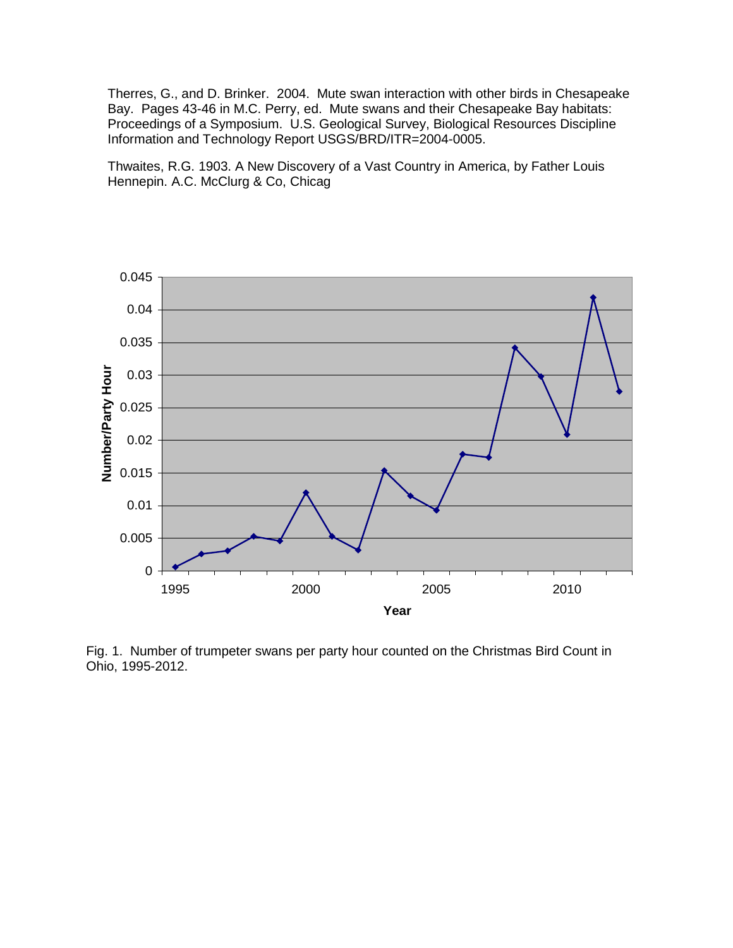Therres, G., and D. Brinker. 2004. Mute swan interaction with other birds in Chesapeake Bay. Pages 43-46 in M.C. Perry, ed. Mute swans and their Chesapeake Bay habitats: Proceedings of a Symposium. U.S. Geological Survey, Biological Resources Discipline Information and Technology Report USGS/BRD/ITR=2004-0005.

Thwaites, R.G. 1903. A New Discovery of a Vast Country in America, by Father Louis Hennepin. A.C. McClurg & Co, Chicag



Fig. 1. Number of trumpeter swans per party hour counted on the Christmas Bird Count in Ohio, 1995-2012.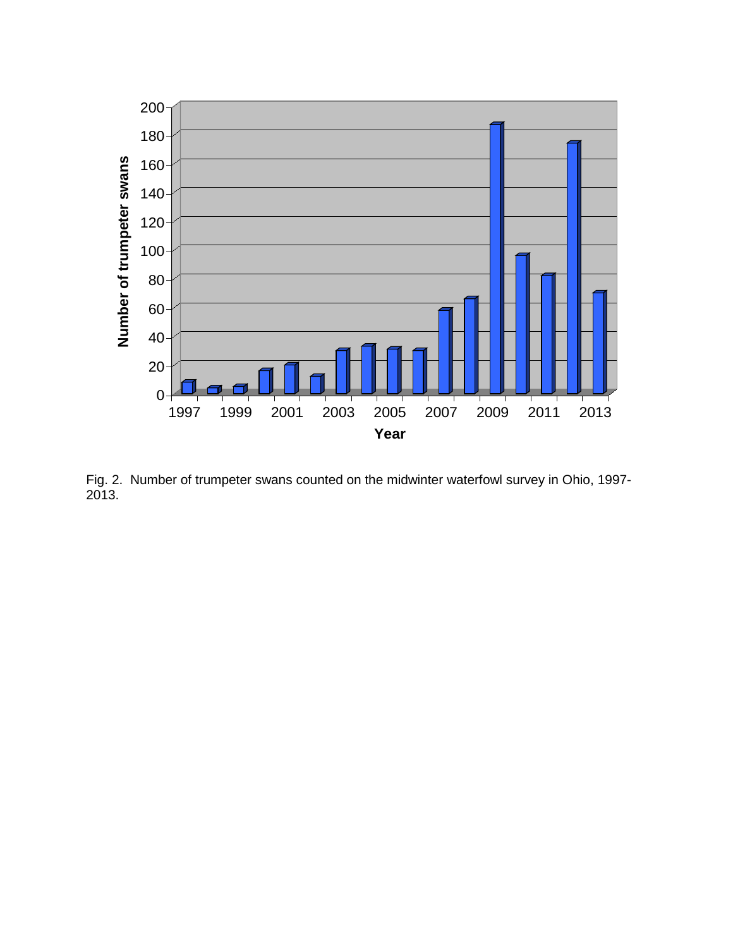

Fig. 2. Number of trumpeter swans counted on the midwinter waterfowl survey in Ohio, 1997- 2013.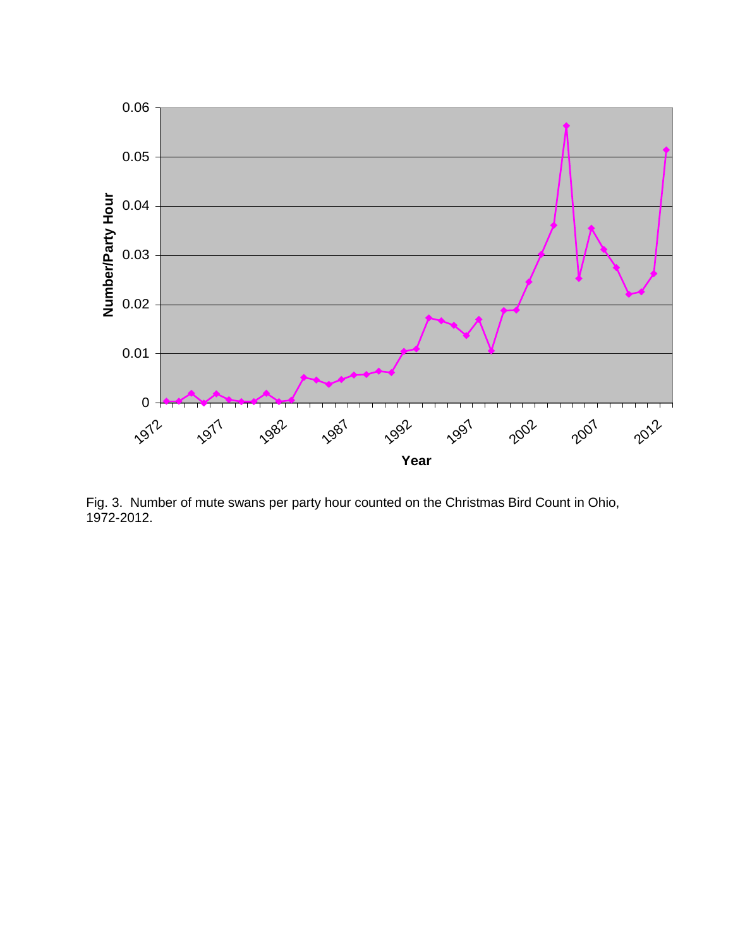

Fig. 3. Number of mute swans per party hour counted on the Christmas Bird Count in Ohio, 1972-2012.